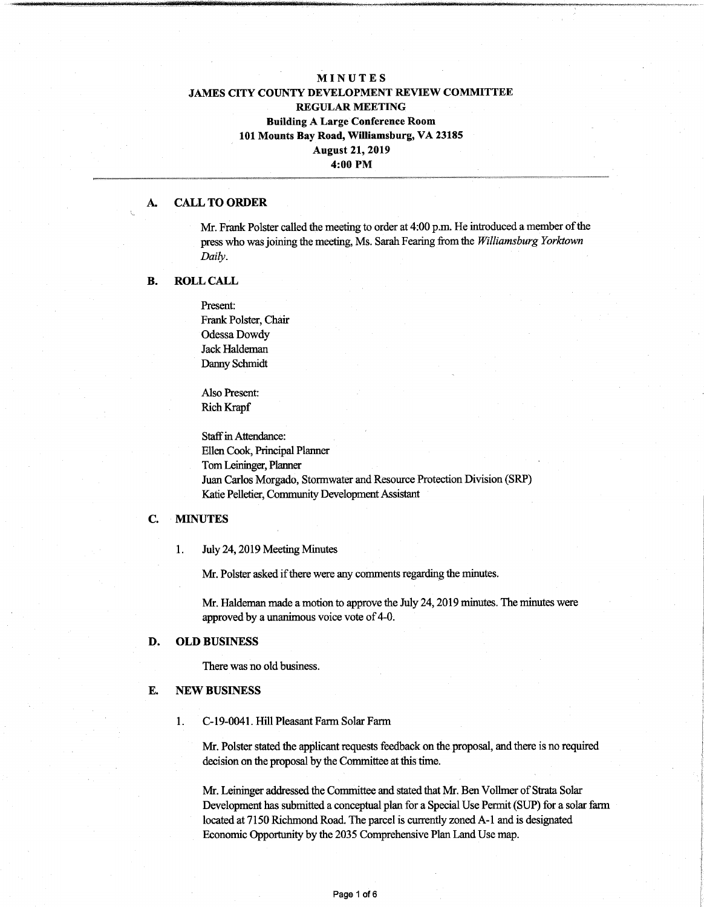# MINUTES JAMES CITY COUNTY DEVELOPMENT REVIEW COMMITTEE REGULAR MEETING Building A Large Conference Room 101 Mounts Bay Road, Williamsburg, VA 23185 August 21, 2019 4:00 PM

### A. CALL TO ORDER

**"gglgBBWt**

Mr. Frank Polster called the meeting to order at 4:00 p.m. He introduced a member of the press who wasjoining die meeting, Ms. Sarah Fearing fromthe *Williamsburg Yorktown Daily.*

### B. ROLL CALL

Present: Frank Polster, Chair Odessa Dowdy Jack Haldeman Danny Schmidt

Also Present: Rich Rrapf

Staff in Attendance: Ellen Cook, Principal Planner TomLeininger, Planner Juan Carlos Morgado, Stormwater and Resource Protection Division (SRP) Katie Pelletier, Community Development Assistant

## C. MINUTES

1. July 24,2019 Meeting Minutes

Mr. Polster asked if there were any comments regarding the minutes.

Mr. Haldeman made a motion to approve the July 24,2019 minutes. The minutes were approved by a unanimous voice vote of 4-0.

#### D. **OLD** BUSINESS

There was no old business.

#### E. NEW BUSINESS

1. C-19-0041. Hill Pleasant Farm Solar Farm

Mr. Polster stated the applicant requests feedback on the proposal, and there is no required decision on the proposal by the Committee at this time.

Mr. Leininger addressed the Committee and stated that Mr. Ben Vollmer of Strata Solar Development has submitted a conceptual plan for a Special Use Permit (SUP) for a solar farm located at 7150 Richmond Road. The parcel is currently zoned A-l and is designated Economic Opportunity by the 2035 Comprehensive Plan Land Use map.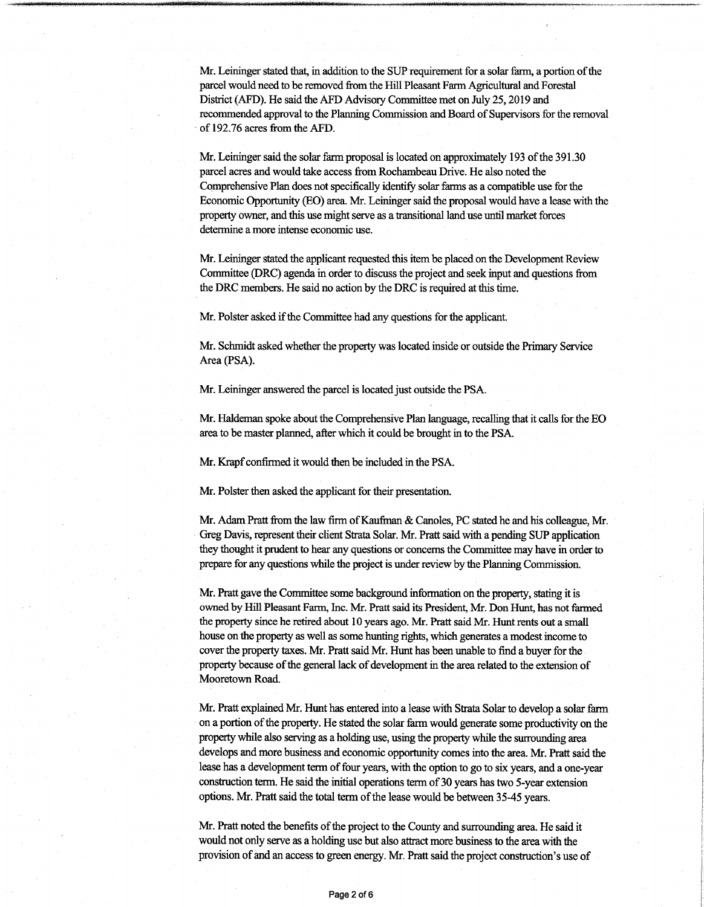Mr. Leininger stated that, in addition to the SUP requirement for a solar farm, a portion ofthe parcel would need to be removed fromthe Hill Pleasant FarmAgricultural and Forestal District (AFD). He said the AFD Advisory Committee met on July 25,2019 and recommended approval to the Planning Commission and Board of Supervisors for the removal of 192.76 acres from the AFD.

Mr. Leininger said the solar farm proposal is located on approximately 193 of the 391.30 parcel acres and would take access from Rochambeau Drive. He also noted the Comprehensive Plan does not specifically identify solar farms as a compatible use for the Economic Opportunity (EO) area. Mr. Leininger said the proposal would have a lease with the property owner, and this use might serve as a transitional land use until market forces determine amore intense economic use.

Mr. Leininger stated the applicant requested this item be placed on the Development Review Committee (DRC) agenda in order to discussthe project and seek input and questions from the DRC members. He said no action by the DRC is required at this time.

Mr. Polster asked if the Committee had any questions for the applicant.

Mr. Schmidt asked whether the property was located inside or outside the Primary Service Area (PSA).

Mr. Leininger answered the parcel is located just outside the PSA.

Mr. Haldeman spoke about the Comprehensive Plan language, recalling that it calls for the EO area to be master planned, after which it could be brought in to the PSA.

Mr. Krapf confirmed it would then be included in the PSA.

Mr. Polster then asked the applicant for their presentation.

Mr. Adam Pratt from the law firm of Kaufman & Canoles, PC stated he and his colleague, Mr. Greg Davis, representtheir client Strata Solar. Mr. Pratt said with a pending SUP application they thought it prudent to hear any questions or concerns the Committee may have in order to prepare for any questions while the project is under review by the Planning Commission.

Mr. Pratt gave the Committee some background information on the property, stating it is owned by Hill Pleasant Farm, Inc. Mr. Pratt said its President, Mr. Don Hunt, has not farmed the property since he retired about 10 years ago. Mr. Pratt said Mr. Hunt rents out a small house on the property as well as some hunting rights, which generates a modest income to cover the property taxes. Mr. Pratt said Mr. Hunt has been unable to find a buyer for the property because of the general lack of development in the area related to the extension of Mooretown Road.

Mr. Pratt explained Mr. Hunt has entered into a lease with Strata Solar to develop a solar farm on a portion of the property. He stated the solar farm would generate some productivity on the property while also serving as a holding use, using the property while the surrounding area develops and more business and economic opportunity comes into the area. Mr. Pratt said the lease has a development term of four years, with the option to go to six years, and a one-year construction term. He said the initial operations term of 30 years has two 5-year extension options. Mr. Pratt said the total term of the lease would be between 35-45 years.

Mr. Pratt noted the benefits of the project to the County and surrounding area. He said it would not only serve as a holding use but also attractmore businessto the areawith the provision of and an access to green energy. Mr. Pratt said the project construction's use of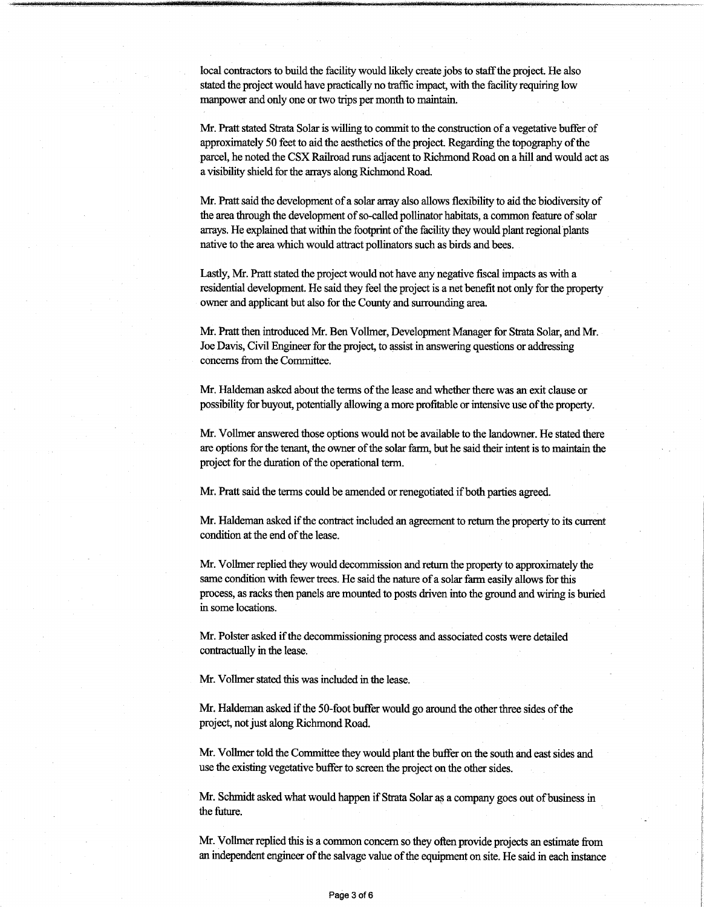local contractors to build the facility would likely create jobs to staff the project. He also stated the project would have practically no traffic impact, with the facility requiring low manpower and only one or two trips per month to maintain.

Mr. Pratt stated Strata Solar is willing to commit to the construction of a vegetative buffer of approximately 50 feet to aid the aesthetics of the project. Regarding the topography of the parcel, he noted the CSX Railroad runs adjacent to Richmond Road on a hill and would act as a visibility shield forthe arrays along RichmondRoad.

Mr. Pratt said the development of a solar array also allows flexibility to aid the biodiversity of the area through the development of so-called pollinator habitats, a common feature of solar arrays. He explained that within the footprint of the facility they would plant regional plants native to the area which would attract pollinators such as birds and bees.

Lastly, Mr. Pratt stated the project would not have any negative fiscal impacts as with a residential development. He said they feel the project is a net benefit not only for the property owner and applicant but also for the County and surrounding area.

Mr. Pratt then introduced Mr. Ben Vollmer, Development Manager for Strata Solar, and Mr. Joe Davis, Civil Engineer forthe project, to assistin answering questions or addressing concerns from the Committee.

Mr. Haldeman asked about the terms of the lease and whether there was an exit clause or possibility for buyout, potentially allowing a more profitable or intensive use of the property.

Mr. Vollmer answered those options would not be available to the landowner. He stated there are options for the tenant, the owner of the solar farm, but he said their intent is to maintain the project for the duration of the operational term.

Mr. Pratt said the terms could be amended or renegotiated if both parties agreed.

Mr. Haldeman asked if the contract included an agreement to return the property to its current condition at the end of the lease.

Mr. Vollmer replied they would decommission and return the property to approximately the same condition with fewer trees. He said the nature of a solar farm easily allows for this process, as racks then panels are mounted to posts driven into the ground and wiring is buried in some locations.

Mr. Polster asked if the decommissioning process and associated costs were detailed contractually in the lease.

Mr. Vollmer stated this was included in the lease.

Mr. Haldeman asked if the 50-foot buffer would go around the other three sides of the project, not just along Richmond Road.

Mr. Vollmer told the Committee they would plant the buffer on the south and east sides and use the existing vegetative buffer to screen the project on the other sides.

Mr. Schmidt asked what would happen if Strata Solar as a company goes out of business in the future.

Mr. Vollmer replied this is a common concern so they often provide projects an estimate from an independent engineer of the salvage value of the equipment on site. He said in each instance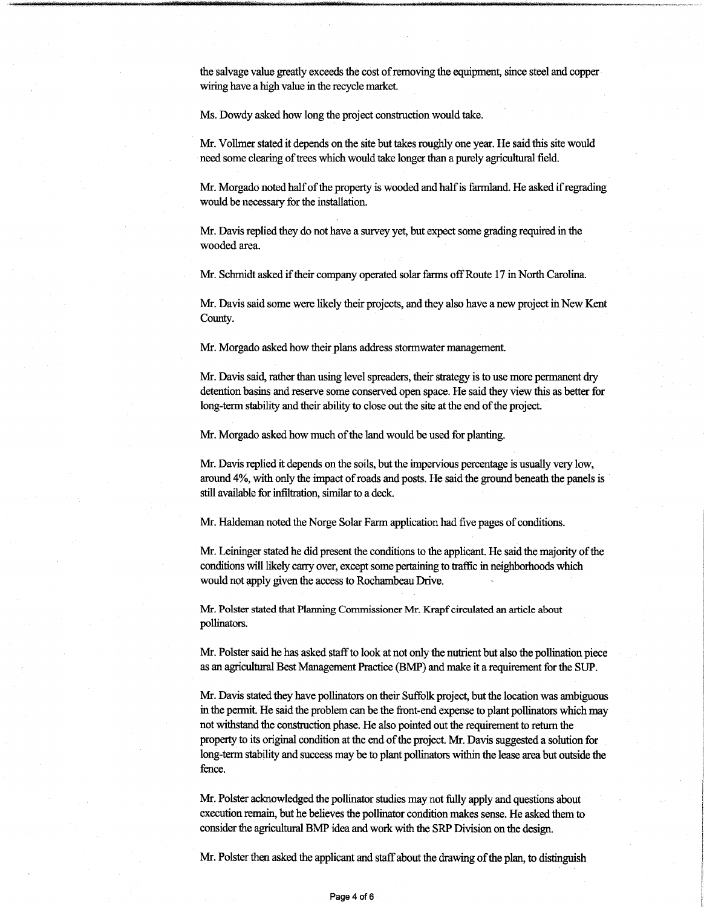the salvage value greatly exceeds die cost ofremoving the equipment, since steel and copper wiring have a high value in the recycle market.

Ms. Dowdy asked how long the project construction would take.

**\*«w**

Mr. Vollmer stated it depends on the site but takes roughly one year. He said this site would need some clearing of trees which would take longer than a purely agricultural field.

Mr. Morgado noted half of the property is wooded and half is farmland. He asked if regrading would be necessary for the installation.

Mr. Davis replied they do not have a survey yet, but expect some grading required in the wooded area.

Mr. Schmidt asked if their company operated solar farms off Route 17 in North Carolina.

Mr. Davis said some were likely their projects, and they also have a new project in New Kent County.

Mr. Morgado asked how their plans address stormwater management.

Mr. Davis said, rather than using level spreaders, their strategy is to use more permanent dry detention basins and reserve some conserved open space. He said they view this as better for long-term stability and their ability to close out the site at the end of the project.

Mr. Morgado asked how much of the land would be used for planting.

Mr. Davis replied it depends on the soils, but the impervious percentage is usually very low, around 4%, with only the impact of roads and posts. He said the ground beneath the panels is still available for infiltration, similar to a deck.

Mr. Haldeman noted the Norge Solar Farm application had five pages of conditions.

Mr. Leininger stated he did present the conditions to the applicant. He said the majority of the conditions willlikely carry over, except some pertaining to traffic in neighborhoods which would not apply given the access to Rochambeau Drive.

Mr. Polster stated that Planning Commissioner Mr. Krapf circulated an article about pollinators.

Mr. Polster said he has asked staff to look at not only the nutrient but also the pollination piece as an agricultural Best Management Practice (BMP) and make it a requirement for the SUP.

Mr. Davis stated they have pollinators on their Suffolk project, butthe location was ambiguous in the permit. He said the problem can be the front-end expense to plant pollinators which may not withstand the construction phase. He also pointed out the requirement to return the property to its original condition atthe end ofthe project. Mr. Davis suggested a solution for long-term stability and success may be to plant pollinators within the lease area but outside the fence.

Mr. Polster acknowledged the pollinator studies may not fully apply and questions about execution remain, but he believes the pollinator condition makes sense. He asked them to consider the agricultural BMP idea and work with the SRP Division on the design.

Mr. Polster then asked the applicant and staff about the drawing of the plan, to distinguish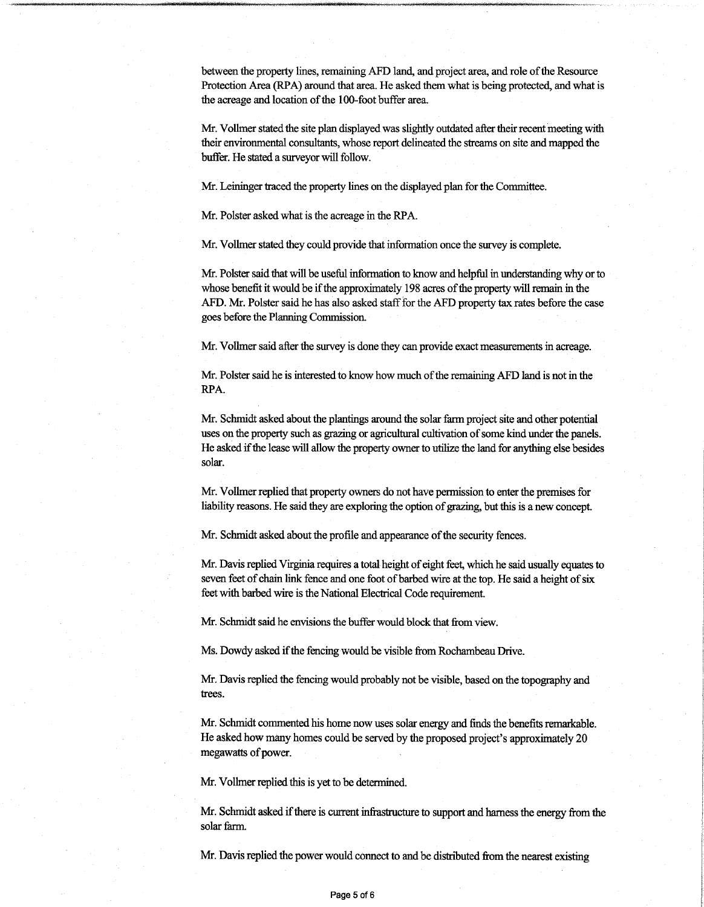between the property lines, remaining AFD land, and project area, and role ofthe Resource Protection Area (RPA) around that area. He asked them what is being protected, and what is the acreage and location of the 100-foot buffer area.

Mr. Vollmer stated the site plan displayed was slightly outdated after their recent meeting with their environmental consultants, whose report delineated the streams on site and mapped the buffer. He stated a surveyor will follow.

Mr. Leininger traced the property lines on the displayed plan for the Committee.

Mr. Polster asked what is the acreage in the RPA.

Mr. Vollmer stated they could provide that information once the survey is complete.

Mr. Polster said that will be useful information to know and helpful in understanding why or to whose benefit it would be if the approximately 198 acres of the property will remain in the AFD. Mr. Polster said he has also asked stafffor the AFD property tax rates before the case goes before the Planning Commission.

Mr. Vollmer said after the survey is done they can provide exact measurements in acreage.

Mr. Polster said he is interested to know how much of the remaining AFD land is not in the RPA.

Mr. Schmidt asked about the plantings around the solar farm project site and other potential uses on the property such as grazing or agricultural cultivation of some kind under the panels. He asked ifthe lease will allow the property ownerto utilize the land for anything else besides solar.

Mr. Vollmer replied that property owners do not have permission to enter the premises for liability reasons. He said they are exploring the option of grazing, but this is a new concept.

Mr. Schmidt asked about the profile and appearance of the security fences.

Mr. Davis replied Virginia requires a total height of eight feet, which he said usually equates to seven feet of chain link fence and one foot of barbed wire at the top. He said a height of six feet with barbed wire is the National Electrical Code requirement.

Mr. Schmidt said he envisions the buffer would block that from view.

Ms. Dowdy asked if the fencing would be visible from Rochambeau Drive.

Mr. Davis replied the fencing would probably not be visible, based on the topography and trees.

Mr. Schmidt commented his home now uses solar energy and finds the benefits remarkable. He asked how many homes could be served by the proposed project's approximately 20 megawatts of power.

Mr. Vollmer replied this is yet to be determined.

Mr. Schmidt asked if there is current infrastructure to support and harness the energy from the solar farm.

Mr. Davis replied the power would connect to and be distributed from the nearest existing